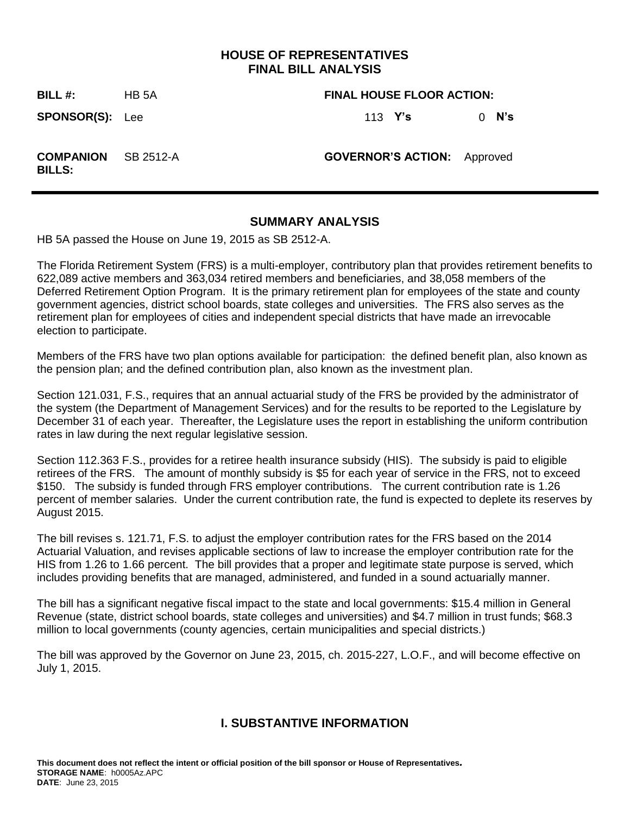# **HOUSE OF REPRESENTATIVES FINAL BILL ANALYSIS**

**BILL #:** HB 5A **FINAL HOUSE FLOOR ACTION:**

**SPONSOR(S):** Lee 113 **Y's** 0 **N's**

**COMPANION BILLS:**

SB 2512-A **GOVERNOR'S ACTION:** Approved

## **SUMMARY ANALYSIS**

HB 5A passed the House on June 19, 2015 as SB 2512-A.

The Florida Retirement System (FRS) is a multi-employer, contributory plan that provides retirement benefits to 622,089 active members and 363,034 retired members and beneficiaries, and 38,058 members of the Deferred Retirement Option Program. It is the primary retirement plan for employees of the state and county government agencies, district school boards, state colleges and universities. The FRS also serves as the retirement plan for employees of cities and independent special districts that have made an irrevocable election to participate.

Members of the FRS have two plan options available for participation: the defined benefit plan, also known as the pension plan; and the defined contribution plan, also known as the investment plan.

Section 121.031, F.S., requires that an annual actuarial study of the FRS be provided by the administrator of the system (the Department of Management Services) and for the results to be reported to the Legislature by December 31 of each year. Thereafter, the Legislature uses the report in establishing the uniform contribution rates in law during the next regular legislative session.

Section 112.363 F.S., provides for a retiree health insurance subsidy (HIS). The subsidy is paid to eligible retirees of the FRS. The amount of monthly subsidy is \$5 for each year of service in the FRS, not to exceed \$150. The subsidy is funded through FRS employer contributions. The current contribution rate is 1.26 percent of member salaries. Under the current contribution rate, the fund is expected to deplete its reserves by August 2015.

The bill revises s. 121.71, F.S. to adjust the employer contribution rates for the FRS based on the 2014 Actuarial Valuation, and revises applicable sections of law to increase the employer contribution rate for the HIS from 1.26 to 1.66 percent. The bill provides that a proper and legitimate state purpose is served, which includes providing benefits that are managed, administered, and funded in a sound actuarially manner.

The bill has a significant negative fiscal impact to the state and local governments: \$15.4 million in General Revenue (state, district school boards, state colleges and universities) and \$4.7 million in trust funds; \$68.3 million to local governments (county agencies, certain municipalities and special districts.)

The bill was approved by the Governor on June 23, 2015, ch. 2015-227, L.O.F., and will become effective on July 1, 2015.

# **I. SUBSTANTIVE INFORMATION**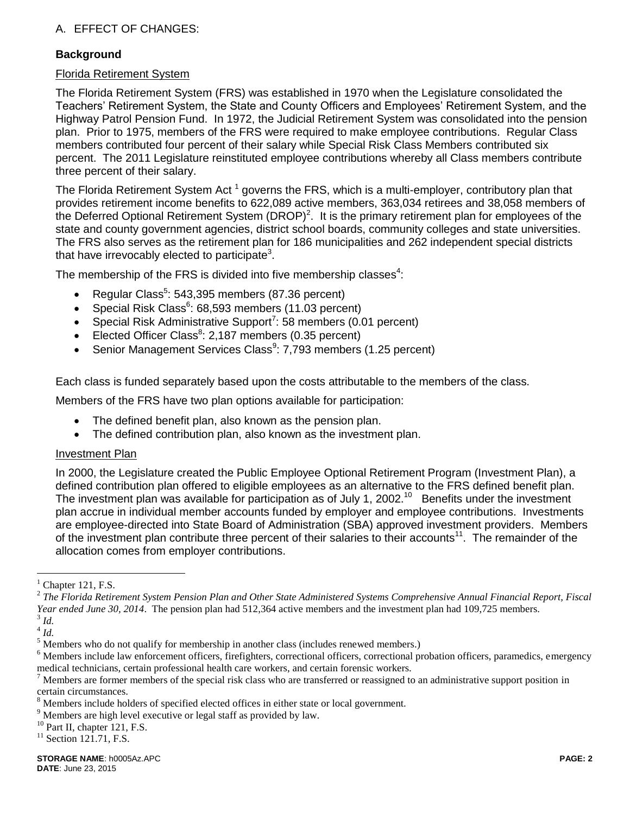# A. EFFECT OF CHANGES:

## **Background**

#### Florida Retirement System

The Florida Retirement System (FRS) was established in 1970 when the Legislature consolidated the Teachers' Retirement System, the State and County Officers and Employees' Retirement System, and the Highway Patrol Pension Fund. In 1972, the Judicial Retirement System was consolidated into the pension plan. Prior to 1975, members of the FRS were required to make employee contributions. Regular Class members contributed four percent of their salary while Special Risk Class Members contributed six percent. The 2011 Legislature reinstituted employee contributions whereby all Class members contribute three percent of their salary.

The Florida Retirement System Act  $^1$  governs the FRS, which is a multi-employer, contributory plan that provides retirement income benefits to 622,089 active members, 363,034 retirees and 38,058 members of the Deferred Optional Retirement System (DROP)<sup>2</sup>. It is the primary retirement plan for employees of the state and county government agencies, district school boards, community colleges and state universities. The FRS also serves as the retirement plan for 186 municipalities and 262 independent special districts that have irrevocably elected to participate<sup>3</sup>.

The membership of the FRS is divided into five membership classes $4$ :

- Regular Class<sup>5</sup>: 543,395 members (87.36 percent)
- Special Risk Class $6:68,593$  members (11.03 percent)
- Special Risk Administrative Support<sup>7</sup>: 58 members (0.01 percent)
- Elected Officer Class<sup>8</sup>: 2,187 members (0.35 percent)
- Senior Management Services Class $9: 7,793$  members (1.25 percent)

Each class is funded separately based upon the costs attributable to the members of the class.

Members of the FRS have two plan options available for participation:

- The defined benefit plan, also known as the pension plan.
- The defined contribution plan, also known as the investment plan.

## Investment Plan

In 2000, the Legislature created the Public Employee Optional Retirement Program (Investment Plan), a defined contribution plan offered to eligible employees as an alternative to the FRS defined benefit plan. The investment plan was available for participation as of July 1, 2002.<sup>10</sup> Benefits under the investment plan accrue in individual member accounts funded by employer and employee contributions. Investments are employee-directed into State Board of Administration (SBA) approved investment providers. Members of the investment plan contribute three percent of their salaries to their accounts<sup>11</sup>. The remainder of the allocation comes from employer contributions.

 $\overline{a}$ 

Chapter 121, F.S.

<sup>2</sup> *The Florida Retirement System Pension Plan and Other State Administered Systems Comprehensive Annual Financial Report, Fiscal Year ended June 30, 2014*. The pension plan had 512,364 active members and the investment plan had 109,725 members. 3 *Id.*

<sup>4</sup> *Id.*

<sup>&</sup>lt;sup>5</sup> Members who do not qualify for membership in another class (includes renewed members.)

<sup>&</sup>lt;sup>6</sup> Members include law enforcement officers, firefighters, correctional officers, correctional probation officers, paramedics, emergency medical technicians, certain professional health care workers, and certain forensic workers.

 $^7$  Members are former members of the special risk class who are transferred or reassigned to an administrative support position in certain circumstances.

<sup>8</sup> Members include holders of specified elected offices in either state or local government.

<sup>&</sup>lt;sup>9</sup> Members are high level executive or legal staff as provided by law.

<sup>&</sup>lt;sup>10</sup> Part II, chapter 121, F.S.

 $11$  Section 121.71, F.S.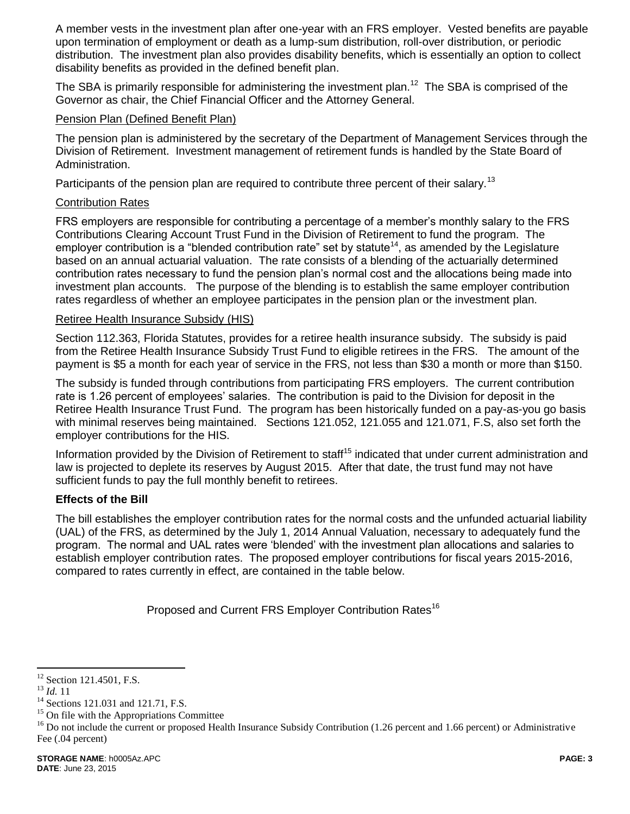A member vests in the investment plan after one-year with an FRS employer. Vested benefits are payable upon termination of employment or death as a lump-sum distribution, roll-over distribution, or periodic distribution. The investment plan also provides disability benefits, which is essentially an option to collect disability benefits as provided in the defined benefit plan.

The SBA is primarily responsible for administering the investment plan.<sup>12</sup> The SBA is comprised of the Governor as chair, the Chief Financial Officer and the Attorney General.

#### Pension Plan (Defined Benefit Plan)

The pension plan is administered by the secretary of the Department of Management Services through the Division of Retirement. Investment management of retirement funds is handled by the State Board of Administration.

Participants of the pension plan are required to contribute three percent of their salary.<sup>13</sup>

## Contribution Rates

FRS employers are responsible for contributing a percentage of a member's monthly salary to the FRS Contributions Clearing Account Trust Fund in the Division of Retirement to fund the program. The employer contribution is a "blended contribution rate" set by statute<sup>14</sup>, as amended by the Legislature based on an annual actuarial valuation. The rate consists of a blending of the actuarially determined contribution rates necessary to fund the pension plan's normal cost and the allocations being made into investment plan accounts. The purpose of the blending is to establish the same employer contribution rates regardless of whether an employee participates in the pension plan or the investment plan.

#### Retiree Health Insurance Subsidy (HIS)

Section 112.363, Florida Statutes, provides for a retiree health insurance subsidy. The subsidy is paid from the Retiree Health Insurance Subsidy Trust Fund to eligible retirees in the FRS. The amount of the payment is \$5 a month for each year of service in the FRS, not less than \$30 a month or more than \$150.

The subsidy is funded through contributions from participating FRS employers. The current contribution rate is 1.26 percent of employees' salaries. The contribution is paid to the Division for deposit in the Retiree Health Insurance Trust Fund. The program has been historically funded on a pay-as-you go basis with minimal reserves being maintained. Sections 121.052, 121.055 and 121.071, F.S, also set forth the employer contributions for the HIS.

Information provided by the Division of Retirement to staff<sup>15</sup> indicated that under current administration and law is projected to deplete its reserves by August 2015. After that date, the trust fund may not have sufficient funds to pay the full monthly benefit to retirees.

## **Effects of the Bill**

The bill establishes the employer contribution rates for the normal costs and the unfunded actuarial liability (UAL) of the FRS, as determined by the July 1, 2014 Annual Valuation, necessary to adequately fund the program. The normal and UAL rates were 'blended' with the investment plan allocations and salaries to establish employer contribution rates. The proposed employer contributions for fiscal years 2015-2016, compared to rates currently in effect, are contained in the table below.

Proposed and Current FRS Employer Contribution Rates<sup>16</sup>

 $\overline{a}$  $12$  Section 121.4501, F.S.

<sup>13</sup> *Id.* 11

<sup>&</sup>lt;sup>14</sup> Sections 121.031 and 121.71, F.S.

<sup>&</sup>lt;sup>15</sup> On file with the Appropriations Committee

 $16$  Do not include the current or proposed Health Insurance Subsidy Contribution (1.26 percent and 1.66 percent) or Administrative Fee (.04 percent)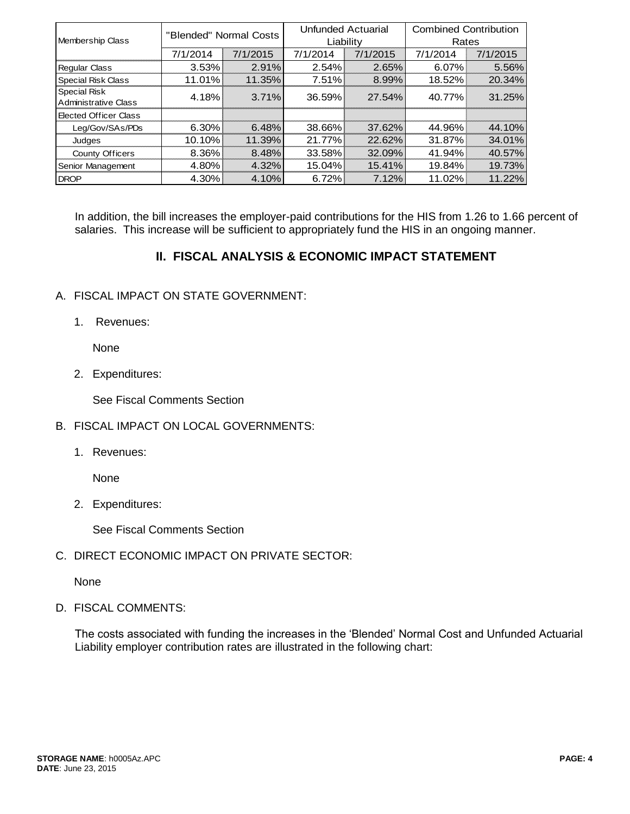| Membership Class                            | "Blended" Normal Costs |          | <b>Unfunded Actuarial</b><br>Liability |          | <b>Combined Contribution</b><br>Rates |          |
|---------------------------------------------|------------------------|----------|----------------------------------------|----------|---------------------------------------|----------|
|                                             | 7/1/2014               | 7/1/2015 | 7/1/2014                               | 7/1/2015 | 7/1/2014                              | 7/1/2015 |
| <b>Regular Class</b>                        | $3.53\%$               | 2.91%    | 2.54%                                  | 2.65%    | 6.07%                                 | 5.56%    |
| <b>Special Risk Class</b>                   | 11.01%                 | 11.35%   | 7.51%                                  | 8.99%    | 18.52%                                | 20.34%   |
| Special Risk<br><b>Administrative Class</b> | 4.18%                  | 3.71%    | 36.59%                                 | 27.54%   | 40.77%                                | 31.25%   |
| Elected Officer Class                       |                        |          |                                        |          |                                       |          |
| Leg/Gov/SAs/PDs                             | $6.30\%$               | 6.48%    | 38.66%                                 | 37.62%   | 44.96%                                | 44.10%   |
| Judges                                      | $10.10\%$              | 11.39%   | 21.77%                                 | 22.62%   | 31.87%                                | 34.01%   |
| County Officers                             | 8.36%                  | 8.48%    | 33.58%                                 | 32.09%   | 41.94%                                | 40.57%   |
| Senior Management                           | 4.80%                  | 4.32%    | 15.04%                                 | 15.41%   | 19.84%                                | 19.73%   |
| <b>DROP</b>                                 | 4.30%                  | 4.10%    | 6.72%                                  | 7.12%    | 11.02%                                | 11.22%   |

In addition, the bill increases the employer-paid contributions for the HIS from 1.26 to 1.66 percent of salaries. This increase will be sufficient to appropriately fund the HIS in an ongoing manner.

# **II. FISCAL ANALYSIS & ECONOMIC IMPACT STATEMENT**

# A. FISCAL IMPACT ON STATE GOVERNMENT:

1. Revenues:

None

2. Expenditures:

See Fiscal Comments Section

- B. FISCAL IMPACT ON LOCAL GOVERNMENTS:
	- 1. Revenues:

None

2. Expenditures:

See Fiscal Comments Section

C. DIRECT ECONOMIC IMPACT ON PRIVATE SECTOR:

None

D. FISCAL COMMENTS:

The costs associated with funding the increases in the 'Blended' Normal Cost and Unfunded Actuarial Liability employer contribution rates are illustrated in the following chart: